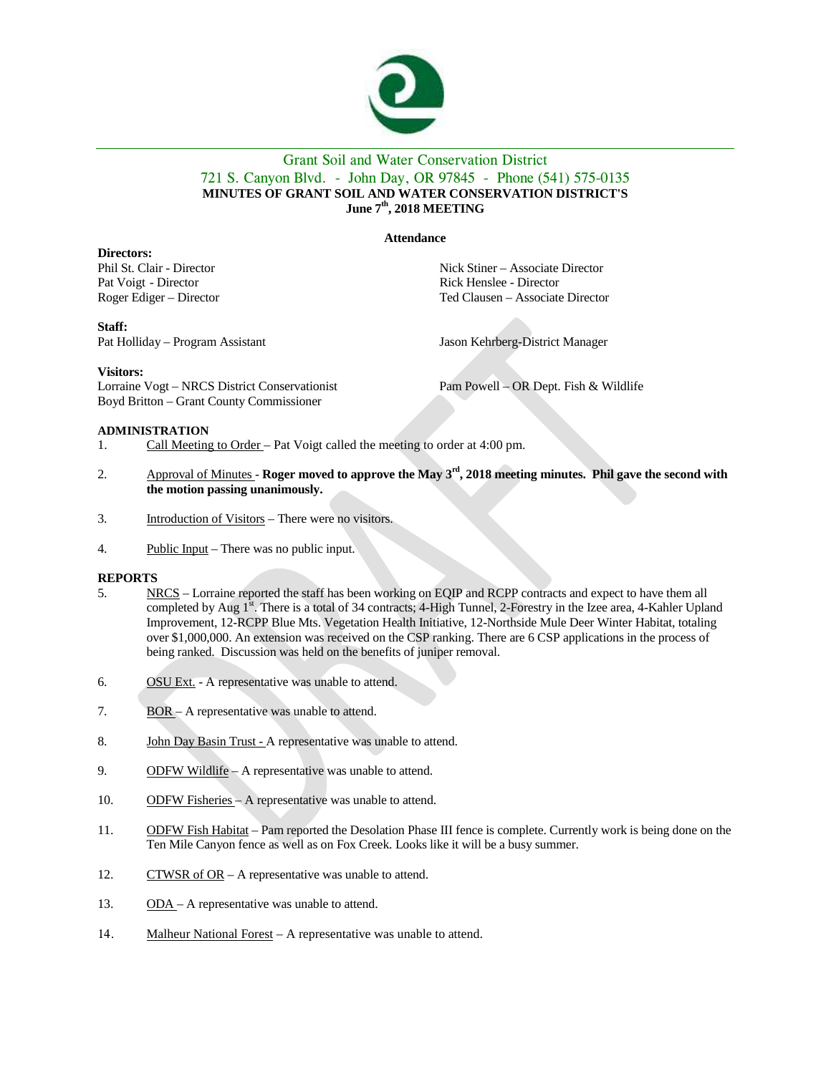

## Grant Soil and Water Conservation District 721 S. Canyon Blvd. - John Day, OR 97845 - Phone (541) 575-0135 **MINUTES OF GRANT SOIL AND WATER CONSERVATION DISTRICT'S June 7th, 2018 MEETING**

**Attendance**

Phil St. Clair - Director Nick Stiner – Associate Director Pat Voigt - Director Roger Ediger – Director Roger Ediger – Director Roger Ediger – Director Roger Ediger – Director Roger Ediger – Director Roger Ediger – Associate

**Directors:**

**Staff:**

Pat Holliday – Program Assistant Jason Kehrberg-District Manager

**Visitors:**

Lorraine Vogt – NRCS District Conservationist Pam Powell – OR Dept. Fish & Wildlife Boyd Britton – Grant County Commissioner

Ted Clausen – Associate Director

## **ADMINISTRATION**

- 1. Call Meeting to Order Pat Voigt called the meeting to order at 4:00 pm.
- 2. Approval of Minutes **Roger moved to approve the May 3rd, 2018 meeting minutes. Phil gave the second with the motion passing unanimously.**
- 3. Introduction of Visitors There were no visitors.
- 4. Public Input There was no public input.

## **REPORTS**

- 5. NRCS Lorraine reported the staff has been working on EQIP and RCPP contracts and expect to have them all completed by Aug 1<sup>st</sup>. There is a total of 34 contracts; 4-High Tunnel, 2-Forestry in the Izee area, 4-Kahler Upland Improvement, 12-RCPP Blue Mts. Vegetation Health Initiative, 12-Northside Mule Deer Winter Habitat, totaling over \$1,000,000. An extension was received on the CSP ranking. There are 6 CSP applications in the process of being ranked. Discussion was held on the benefits of juniper removal.
- 6. OSU Ext. A representative was unable to attend.
- 7. BOR A representative was unable to attend.
- 8. John Day Basin Trust A representative was unable to attend.
- 9. ODFW Wildlife A representative was unable to attend.
- 10. ODFW Fisheries A representative was unable to attend.
- 11. ODFW Fish Habitat Pam reported the Desolation Phase III fence is complete. Currently work is being done on the Ten Mile Canyon fence as well as on Fox Creek. Looks like it will be a busy summer.
- 12. CTWSR of OR A representative was unable to attend.
- 13. ODA A representative was unable to attend.
- 14. Malheur National Forest A representative was unable to attend.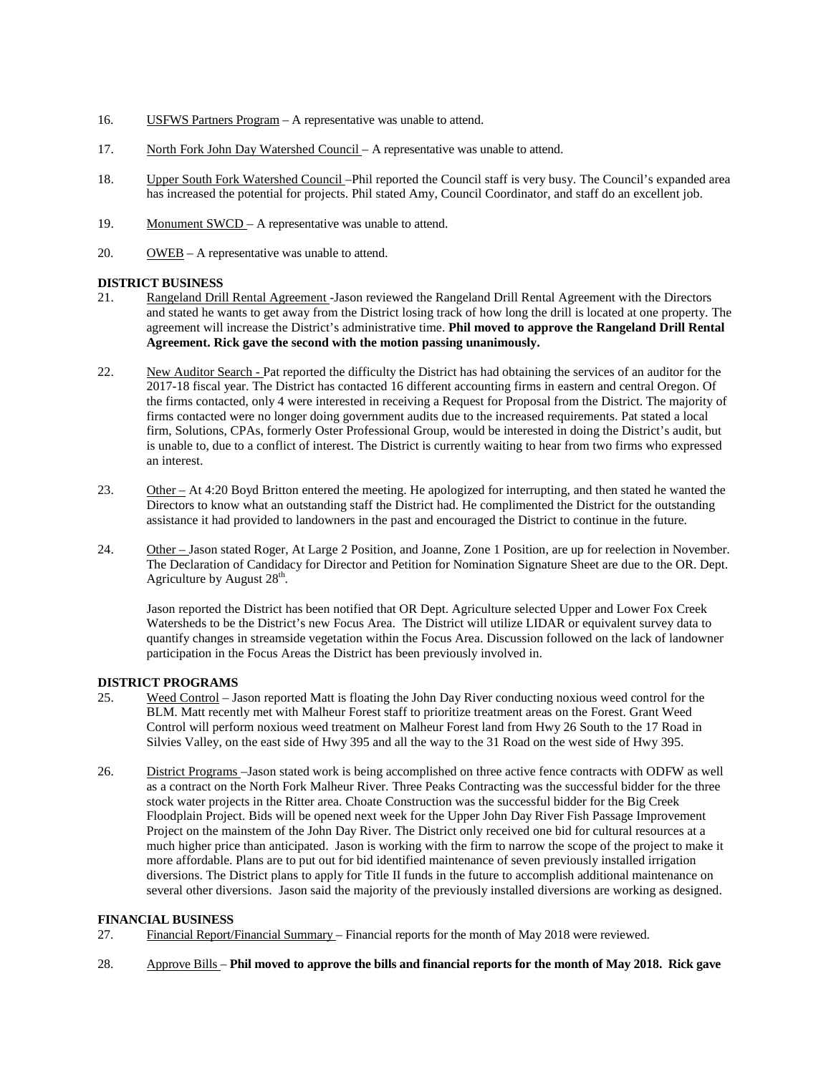- 16. USFWS Partners Program A representative was unable to attend.
- 17. North Fork John Day Watershed Council A representative was unable to attend.
- 18. Upper South Fork Watershed Council –Phil reported the Council staff is very busy. The Council's expanded area has increased the potential for projects. Phil stated Amy, Council Coordinator, and staff do an excellent job.
- 19. Monument SWCD A representative was unable to attend.
- 20. OWEB A representative was unable to attend.

### **DISTRICT BUSINESS**

- 21. Rangeland Drill Rental Agreement -Jason reviewed the Rangeland Drill Rental Agreement with the Directors and stated he wants to get away from the District losing track of how long the drill is located at one property. The agreement will increase the District's administrative time. **Phil moved to approve the Rangeland Drill Rental Agreement. Rick gave the second with the motion passing unanimously.**
- 22. New Auditor Search Pat reported the difficulty the District has had obtaining the services of an auditor for the 2017-18 fiscal year. The District has contacted 16 different accounting firms in eastern and central Oregon. Of the firms contacted, only 4 were interested in receiving a Request for Proposal from the District. The majority of firms contacted were no longer doing government audits due to the increased requirements. Pat stated a local firm, Solutions, CPAs, formerly Oster Professional Group, would be interested in doing the District's audit, but is unable to, due to a conflict of interest. The District is currently waiting to hear from two firms who expressed an interest.
- 23. Other At 4:20 Boyd Britton entered the meeting. He apologized for interrupting, and then stated he wanted the Directors to know what an outstanding staff the District had. He complimented the District for the outstanding assistance it had provided to landowners in the past and encouraged the District to continue in the future.
- 24. Other Jason stated Roger, At Large 2 Position, and Joanne, Zone 1 Position, are up for reelection in November. The Declaration of Candidacy for Director and Petition for Nomination Signature Sheet are due to the OR. Dept. Agriculture by August  $28<sup>th</sup>$ .

Jason reported the District has been notified that OR Dept. Agriculture selected Upper and Lower Fox Creek Watersheds to be the District's new Focus Area. The District will utilize LIDAR or equivalent survey data to quantify changes in streamside vegetation within the Focus Area. Discussion followed on the lack of landowner participation in the Focus Areas the District has been previously involved in.

### **DISTRICT PROGRAMS**

- 25. Weed Control Jason reported Matt is floating the John Day River conducting noxious weed control for the BLM. Matt recently met with Malheur Forest staff to prioritize treatment areas on the Forest. Grant Weed Control will perform noxious weed treatment on Malheur Forest land from Hwy 26 South to the 17 Road in Silvies Valley, on the east side of Hwy 395 and all the way to the 31 Road on the west side of Hwy 395.
- 26. District Programs –Jason stated work is being accomplished on three active fence contracts with ODFW as well as a contract on the North Fork Malheur River. Three Peaks Contracting was the successful bidder for the three stock water projects in the Ritter area. Choate Construction was the successful bidder for the Big Creek Floodplain Project. Bids will be opened next week for the Upper John Day River Fish Passage Improvement Project on the mainstem of the John Day River. The District only received one bid for cultural resources at a much higher price than anticipated. Jason is working with the firm to narrow the scope of the project to make it more affordable. Plans are to put out for bid identified maintenance of seven previously installed irrigation diversions. The District plans to apply for Title II funds in the future to accomplish additional maintenance on several other diversions. Jason said the majority of the previously installed diversions are working as designed.

#### **FINANCIAL BUSINESS**

- 27. Financial Report/Financial Summary Financial reports for the month of May 2018 were reviewed.
- 28. Approve Bills **Phil moved to approve the bills and financial reports for the month of May 2018. Rick gave**